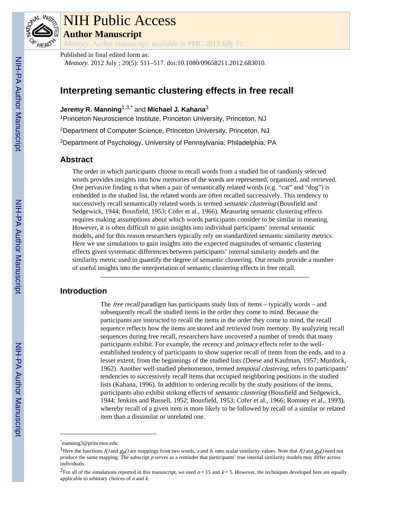

# NIH Public Access **Author Manuscript**

Memory. Author manuscript; available in PMC 2013 July 01.

Published in final edited form as:

Memory. 2012 July ; 20(5): 511–517. doi:10.1080/09658211.2012.683010.

## **Interpreting semantic clustering effects in free recall**

**Jeremy R. Manning**1,3,\* and **Michael J. Kahana**<sup>3</sup>

<sup>1</sup>Princeton Neuroscience Institute, Princeton University, Princeton, NJ

<sup>2</sup>Department of Computer Science, Princeton University, Princeton, NJ

<sup>3</sup>Department of Psychology, University of Pennsylvania, Philadelphia, PA

## **Abstract**

The order in which participants choose to recall words from a studied list of randomly selected words provides insights into how memories of the words are represented, organized, and retrieved. One pervasive finding is that when a pair of semantically related words (e.g. "cat" and "dog") is embedded in the studied list, the related words are often recalled successively. This tendency to successively recall semantically related words is termed *semantic clustering* (Bousfield and Sedgewick, 1944; Bousfield, 1953; Cofer et al., 1966). Measuring semantic clustering effects requires making assumptions about which words participants consider to be similar in meaning. However, it is often difficult to gain insights into individual participants' internal semantic models, and for this reason researchers typically rely on standardized semantic similarity metrics. Here we use simulations to gain insights into the expected magnitudes of semantic clustering effects given systematic differences between participants' internal similarity models and the similarity metric used to quantify the degree of semantic clustering. Our results provide a number of useful insights into the interpretation of semantic clustering effects in free recall.

## **Introduction**

The *free recall* paradigm has participants study lists of items – typically words – and subsequently recall the studied items in the order they come to mind. Because the participants are instructed to recall the items in the order they come to mind, the recall sequence reflects how the items are stored and retrieved from memory. By analyzing recall sequences during free recall, researchers have uncovered a number of trends that many participants exhibit. For example, the recency and primacy effects refer to the wellestablished tendency of participants to show superior recall of items from the ends, and to a lesser extent, from the beginnings of the studied lists (Deese and Kaufman, 1957; Murdock, 1962). Another well-studied phenomenon, termed *temporal clustering*, refers to participants' tendencies to successively recall items that occupied neighboring positions in the studied lists (Kahana, 1996). In addition to ordering recalls by the study positions of the items, participants also exhibit striking effects of *semantic clustering* (Bousfield and Sedgewick, 1944; Jenkins and Russell, 1952; Bousfield, 1953; Cofer et al., 1966; Romney et al., 1993), whereby recall of a given item is more likely to be followed by recall of a similar or related item than a dissimilar or unrelated one.

<sup>\*</sup>manning3@princeton.edu.

<sup>&</sup>lt;sup>1</sup>Here the functions f() and  $g_p$ () are mappings from two words, a and b, onto scalar similarity values. Note that f() and  $g_p$ () need not produce the same mapping. The subscript p serves as a reminder that participants' true internal similarity models may differ across individuals.

<sup>&</sup>lt;sup>2</sup>For all of the simulations reported in this manuscript, we used  $n = 15$  and  $k = 5$ . However, the techniques developed here are equally applicable to arbitrary choices of  $n$  and  $k$ .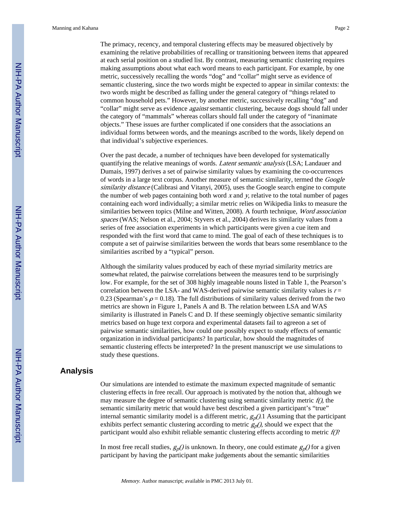common household pets." However, by another metric, successively recalling "dog" and "collar" might serve as evidence *against* semantic clustering, because dogs should fall under the category of "mammals" whereas collars should fall under the category of "inanimate objects." These issues are further complicated if one considers that the associations an individual forms between words, and the meanings ascribed to the words, likely depend on that individual's subjective experiences.

Over the past decade, a number of techniques have been developed for systematically quantifying the relative meanings of words. Latent semantic analysis (LSA; Landauer and Dumais, 1997) derives a set of pairwise similarity values by examining the co-occurrences of words in a large text corpus. Another measure of semantic similarity, termed the Google similarity distance (Calibrasi and Vitanyi, 2005), uses the Google search engine to compute the number of web pages containing both word  $x$  and  $y$ , relative to the total number of pages containing each word individually; a similar metric relies on Wikipedia links to measure the similarities between topics (Milne and Witten, 2008). A fourth technique, *Word association* spaces (WAS; Nelson et al., 2004; Styvers et al., 2004) derives its similarity values from a series of free association experiments in which participants were given a cue item and responded with the first word that came to mind. The goal of each of these techniques is to compute a set of pairwise similarities between the words that bears some resemblance to the similarities ascribed by a "typical" person.

Although the similarity values produced by each of these myriad similarity metrics are somewhat related, the pairwise correlations between the measures tend to be surprisingly low. For example, for the set of 308 highly imageable nouns listed in Table 1, the Pearson's correlation between the LSA- and WAS-derived pairwise semantic similarity values is  $r =$ 0.23 (Spearman's  $\rho = 0.18$ ). The full distributions of similarity values derived from the two metrics are shown in Figure 1, Panels A and B. The relation between LSA and WAS similarity is illustrated in Panels C and D. If these seemingly objective semantic similarity metrics based on huge text corpora and experimental datasets fail to agreeon a set of pairwise semantic similarities, how could one possibly expect to study effects of semantic organization in individual participants? In particular, how should the magnitudes of semantic clustering effects be interpreted? In the present manuscript we use simulations to study these questions.

### **Analysis**

Our simulations are intended to estimate the maximum expected magnitude of semantic clustering effects in free recall. Our approach is motivated by the notion that, although we may measure the degree of semantic clustering using semantic similarity metric  $f(t)$ , the semantic similarity metric that would have best described a given participant's "true" internal semantic similarity model is a different metric,  $g_p(0.1)$  Assuming that the participant exhibits perfect semantic clustering according to metric  $g_p(t)$ , should we expect that the participant would also exhibit reliable semantic clustering effects according to metric  $f(\mathcal{V})$ ?

In most free recall studies,  $g_p(i)$  is unknown. In theory, one could estimate  $g_p(i)$  for a given participant by having the participant make judgements about the semantic similarities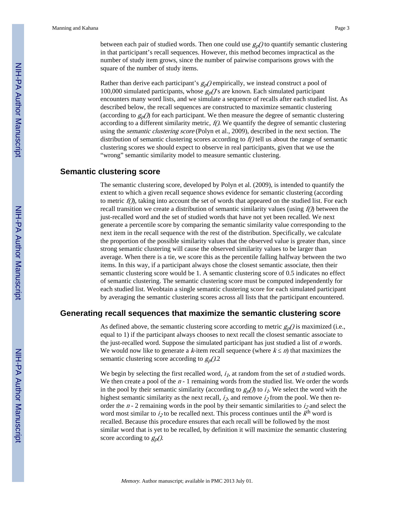Rather than derive each participant's  $g_p()$  empirically, we instead construct a pool of 100,000 simulated participants, whose  $g_p$ ()'s are known. Each simulated participant encounters many word lists, and we simulate a sequence of recalls after each studied list. As described below, the recall sequences are constructed to maximize semantic clustering (according to  $g_p(t)$ ) for each participant. We then measure the degree of semantic clustering according to a different similarity metric,  $f()$ . We quantify the degree of semantic clustering using the *semantic clustering score* (Polyn et al., 2009), described in the next section. The distribution of semantic clustering scores according to  $f(t)$  tell us about the range of semantic clustering scores we should expect to observe in real participants, given that we use the "wrong" semantic similarity model to measure semantic clustering.

#### **Semantic clustering score**

The semantic clustering score, developed by Polyn et al. (2009), is intended to quantify the extent to which a given recall sequence shows evidence for semantic clustering (according to metric  $f()$ , taking into account the set of words that appeared on the studied list. For each recall transition we create a distribution of semantic similarity values (using  $f()$ ) between the just-recalled word and the set of studied words that have not yet been recalled. We next generate a percentile score by comparing the semantic similarity value corresponding to the next item in the recall sequence with the rest of the distribution. Specifically, we calculate the proportion of the possible similarity values that the observed value is greater than, since strong semantic clustering will cause the observed similarity values to be larger than average. When there is a tie, we score this as the percentile falling halfway between the two items. In this way, if a participant always chose the closest semantic associate, then their semantic clustering score would be 1. A semantic clustering score of 0.5 indicates no effect of semantic clustering. The semantic clustering score must be computed independently for each studied list. Weobtain a single semantic clustering score for each simulated participant by averaging the semantic clustering scores across all lists that the participant encountered.

#### **Generating recall sequences that maximize the semantic clustering score**

As defined above, the semantic clustering score according to metric  $g_p()$  is maximized (i.e., equal to 1) if the participant always chooses to next recall the closest semantic associate to the just-recalled word. Suppose the simulated participant has just studied a list of  $n$  words. We would now like to generate a k-item recall sequence (where  $k \in \mathbb{R}$ ) that maximizes the semantic clustering score according to  $g_p(0.2)$ 

We begin by selecting the first recalled word,  $i_l$ , at random from the set of *n* studied words. We then create a pool of the  $n - 1$  remaining words from the studied list. We order the words in the pool by their semantic similarity (according to  $g_p(t)$ ) to  $i_l$ . We select the word with the highest semantic similarity as the next recall,  $i_2$ , and remove  $i_2$  from the pool. We then reorder the  $n - 2$  remaining words in the pool by their semantic similarities to  $i<sub>2</sub>$  and select the word most similar to  $i_2$  to be recalled next. This process continues until the  $k^{\text{th}}$  word is recalled. Because this procedure ensures that each recall will be followed by the most similar word that is yet to be recalled, by definition it will maximize the semantic clustering score according to  $g_p(x)$ .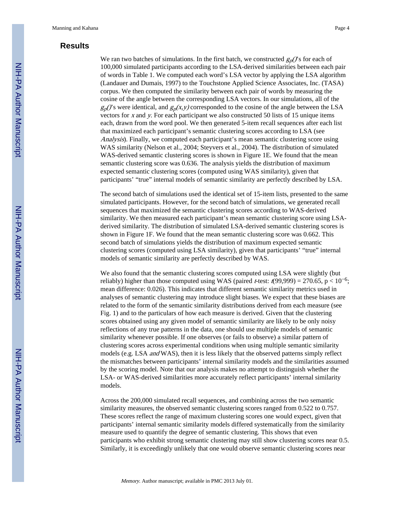## **Results**

We ran two batches of simulations. In the first batch, we constructed  $g_p(y)$  for each of 100,000 simulated participants according to the LSA-derived similarities between each pair of words in Table 1. We computed each word's LSA vector by applying the LSA algorithm (Landauer and Dumais, 1997) to the Touchstone Applied Science Associates, Inc. (TASA) corpus. We then computed the similarity between each pair of words by measuring the cosine of the angle between the corresponding LSA vectors. In our simulations, all of the  $g_p(t)$ 's were identical, and  $g_p(x, y)$  corresponded to the cosine of the angle between the LSA vectors for x and y. For each participant we also constructed 50 lists of 15 unique items each, drawn from the word pool. We then generated 5-item recall sequences after each list that maximized each participant's semantic clustering scores according to LSA (see Analysis). Finally, we computed each participant's mean semantic clustering score using WAS similarity (Nelson et al., 2004; Steyvers et al., 2004). The distribution of simulated WAS-derived semantic clustering scores is shown in Figure 1E. We found that the mean semantic clustering score was 0.636. The analysis yields the distribution of maximum expected semantic clustering scores (computed using WAS similarity), given that participants' "true" internal models of semantic similarity are perfectly described by LSA.

The second batch of simulations used the identical set of 15-item lists, presented to the same simulated participants. However, for the second batch of simulations, we generated recall sequences that maximized the semantic clustering scores according to WAS-derived similarity. We then measured each participant's mean semantic clustering score using LSAderived similarity. The distribution of simulated LSA-derived semantic clustering scores is shown in Figure 1F. We found that the mean semantic clustering score was 0.662. This second batch of simulations yields the distribution of maximum expected semantic clustering scores (computed using LSA similarity), given that participants' "true" internal models of semantic similarity are perfectly described by WAS.

We also found that the semantic clustering scores computed using LSA were slightly (but reliably) higher than those computed using WAS (paired *t*-test:  $t(99,999) = 270.65$ , p <  $10^{-6}$ ; mean difference: 0.026). This indicates that different semantic similarity metrics used in analyses of semantic clustering may introduce slight biases. We expect that these biases are related to the form of the semantic similarity distributions derived from each measure (see Fig. 1) and to the particulars of how each measure is derived. Given that the clustering scores obtained using any given model of semantic similarity are likely to be only noisy reflections of any true patterns in the data, one should use multiple models of semantic similarity whenever possible. If one observes (or fails to observe) a similar pattern of clustering scores across experimental conditions when using multiple semantic similarity models (e.g. LSA *and* WAS), then it is less likely that the observed patterns simply reflect the mismatches between participants' internal similarity models and the similarities assumed by the scoring model. Note that our analysis makes no attempt to distinguish whether the LSA- or WAS-derived similarities more accurately reflect participants' internal similarity models.

Across the 200,000 simulated recall sequences, and combining across the two semantic similarity measures, the observed semantic clustering scores ranged from 0.522 to 0.757. These scores reflect the range of maximum clustering scores one would expect, given that participants' internal semantic similarity models differed systematically from the similarity measure used to quantify the degree of semantic clustering. This shows that even participants who exhibit strong semantic clustering may still show clustering scores near 0.5. Similarly, it is exceedingly unlikely that one would observe semantic clustering scores near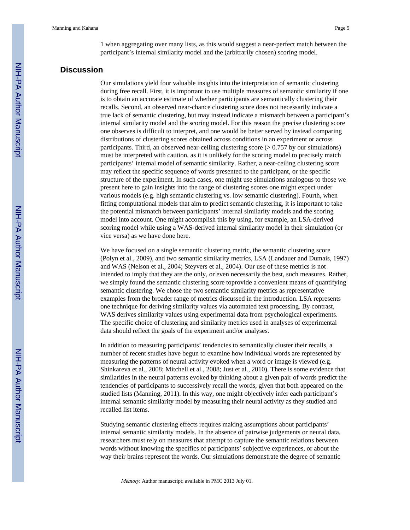1 when aggregating over many lists, as this would suggest a near-perfect match between the participant's internal similarity model and the (arbitrarily chosen) scoring model.

## **Discussion**

Our simulations yield four valuable insights into the interpretation of semantic clustering during free recall. First, it is important to use multiple measures of semantic similarity if one is to obtain an accurate estimate of whether participants are semantically clustering their recalls. Second, an observed near-chance clustering score does not necessarily indicate a true lack of semantic clustering, but may instead indicate a mismatch between a participant's internal similarity model and the scoring model. For this reason the precise clustering score one observes is difficult to interpret, and one would be better served by instead comparing distributions of clustering scores obtained across conditions in an experiment or across participants. Third, an observed near-ceiling clustering score  $(> 0.757$  by our simulations) must be interpreted with caution, as it is unlikely for the scoring model to precisely match participants' internal model of semantic similarity. Rather, a near-ceiling clustering score may reflect the specific sequence of words presented to the participant, or the specific structure of the experiment. In such cases, one might use simulations analogous to those we present here to gain insights into the range of clustering scores one might expect under various models (e.g. high semantic clustering vs. low semantic clustering). Fourth, when fitting computational models that aim to predict semantic clustering, it is important to take the potential mismatch between participants' internal similarity models and the scoring model into account. One might accomplish this by using, for example, an LSA-derived scoring model while using a WAS-derived internal similarity model in their simulation (or vice versa) as we have done here.

We have focused on a single semantic clustering metric, the semantic clustering score (Polyn et al., 2009), and two semantic similarity metrics, LSA (Landauer and Dumais, 1997) and WAS (Nelson et al., 2004; Steyvers et al., 2004). Our use of these metrics is not intended to imply that they are the only, or even necessarily the best, such measures. Rather, we simply found the semantic clustering score toprovide a convenient means of quantifying semantic clustering. We chose the two semantic similarity metrics as representative examples from the broader range of metrics discussed in the introduction. LSA represents one technique for deriving similarity values via automated text processing. By contrast, WAS derives similarity values using experimental data from psychological experiments. The specific choice of clustering and similarity metrics used in analyses of experimental data should reflect the goals of the experiment and/or analyses.

In addition to measuring participants' tendencies to semantically cluster their recalls, a number of recent studies have begun to examine how individual words are represented by measuring the patterns of neural activity evoked when a word or image is viewed (e.g. Shinkareva et al., 2008; Mitchell et al., 2008; Just et al., 2010). There is some evidence that similarities in the neural patterns evoked by thinking about a given pair of words predict the tendencies of participants to successively recall the words, given that both appeared on the studied lists (Manning, 2011). In this way, one might objectively infer each participant's internal semantic similarity model by measuring their neural activity as they studied and recalled list items.

Studying semantic clustering effects requires making assumptions about participants' internal semantic similarity models. In the absence of pairwise judgements or neural data, researchers must rely on measures that attempt to capture the semantic relations between words without knowing the specifics of participants' subjective experiences, or about the way their brains represent the words. Our simulations demonstrate the degree of semantic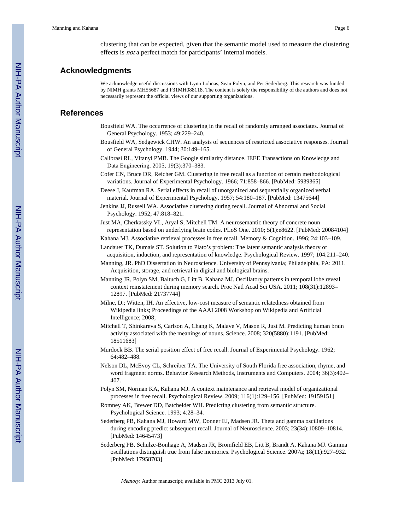clustering that can be expected, given that the semantic model used to measure the clustering effects is not a perfect match for participants' internal models.

## **Acknowledgments**

We acknowledge useful discussions with Lynn Lohnas, Sean Polyn, and Per Sederberg. This research was funded by NIMH grants MH55687 and F31MH088118. The content is solely the responsibility of the authors and does not necessarily represent the official views of our supporting organizations.

#### **References**

- Bousfield WA. The occurrence of clustering in the recall of randomly arranged associates. Journal of General Psychology. 1953; 49:229–240.
- Bousfield WA, Sedgewick CHW. An analysis of sequences of restricted associative responses. Journal of General Psychology. 1944; 30:149–165.
- Calibrasi RL, Vitanyi PMB. The Google similarity distance. IEEE Transactions on Knowledge and Data Engineering. 2005; 19(3):370–383.
- Cofer CN, Bruce DR, Reicher GM. Clustering in free recall as a function of certain methodological variations. Journal of Experimental Psychology. 1966; 71:858–866. [PubMed: 5939365]
- Deese J, Kaufman RA. Serial effects in recall of unorganized and sequentially organized verbal material. Journal of Experimental Psychology. 1957; 54:180–187. [PubMed: 13475644]
- Jenkins JJ, Russell WA. Associative clustering during recall. Journal of Abnormal and Social Psychology. 1952; 47:818–821.
- Just MA, Cherkassky VL, Aryal S, Mitchell TM. A neurosemantic theory of concrete noun representation based on underlying brain codes. PLoS One. 2010; 5(1):e8622. [PubMed: 20084104]
- Kahana MJ. Associative retrieval processes in free recall. Memory & Cognition. 1996; 24:103–109.
- Landauer TK, Dumais ST. Solution to Plato's problem: The latent semantic analysis theory of acquisition, induction, and representation of knowledge. Psychological Review. 1997; 104:211–240.
- Manning, JR. PhD Dissertation in Neuroscience. University of Pennsylvania; Philadelphia, PA: 2011. Acquisition, storage, and retrieval in digital and biological brains.
- Manning JR, Polyn SM, Baltuch G, Litt B, Kahana MJ. Oscillatory patterns in temporal lobe reveal context reinstatement during memory search. Proc Natl Acad Sci USA. 2011; 108(31):12893– 12897. [PubMed: 21737744]
- Milne, D.; Witten, IH. An effective, low-cost measure of semantic relatedness obtained from Wikipedia links; Proceedings of the AAAI 2008 Workshop on Wikipedia and Artificial Intelligence; 2008;
- Mitchell T, Shinkareva S, Carlson A, Chang K, Malave V, Mason R, Just M. Predicting human brain activity associated with the meanings of nouns. Science. 2008; 320(5880):1191. [PubMed: 18511683]
- Murdock BB. The serial position effect of free recall. Journal of Experimental Psychology. 1962; 64:482–488.
- Nelson DL, McEvoy CL, Schreiber TA. The University of South Florida free association, rhyme, and word fragment norms. Behavior Research Methods, Instruments and Computers. 2004; 36(3):402– 407.
- Polyn SM, Norman KA, Kahana MJ. A context maintenance and retrieval model of organizational processes in free recall. Psychological Review. 2009; 116(1):129–156. [PubMed: 19159151]
- Romney AK, Brewer DD, Batchelder WH. Predicting clustering from semantic structure. Psychological Science. 1993; 4:28–34.
- Sederberg PB, Kahana MJ, Howard MW, Donner EJ, Madsen JR. Theta and gamma oscillations during encoding predict subsequent recall. Journal of Neuroscience. 2003; 23(34):10809–10814. [PubMed: 14645473]
- Sederberg PB, Schulze-Bonhage A, Madsen JR, Bromfield EB, Litt B, Brandt A, Kahana MJ. Gamma oscillations distinguish true from false memories. Psychological Science. 2007a; 18(11):927–932. [PubMed: 17958703]

Memory. Author manuscript; available in PMC 2013 July 01.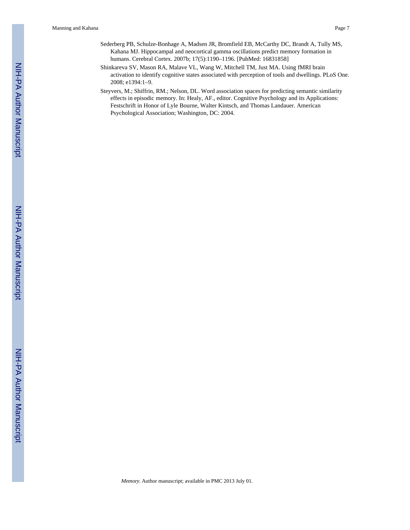- Sederberg PB, Schulze-Bonhage A, Madsen JR, Bromfield EB, McCarthy DC, Brandt A, Tully MS, Kahana MJ. Hippocampal and neocortical gamma oscillations predict memory formation in humans. Cerebral Cortex. 2007b; 17(5):1190–1196. [PubMed: 16831858]
- Shinkareva SV, Mason RA, Malave VL, Wang W, Mitchell TM, Just MA. Using fMRI brain activation to identify cognitive states associated with perception of tools and dwellings. PLoS One. 2008; e1394:1–9.
- Steyvers, M.; Shiffrin, RM.; Nelson, DL. Word association spaces for predicting semantic similarity effects in episodic memory. In: Healy, AF., editor. Cognitive Psychology and its Applications: Festschrift in Honor of Lyle Bourne, Walter Kintsch, and Thomas Landauer. American Psychological Association; Washington, DC: 2004.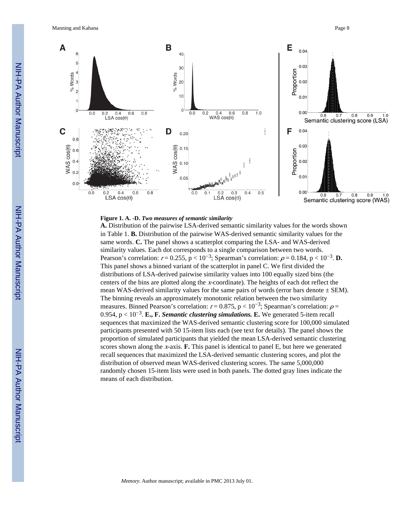Manning and Kahana Page 8



#### **Figure 1. A. -D.** *Two measures of semantic similarity*

**A.** Distribution of the pairwise LSA-derived semantic similarity values for the words shown in Table 1. **B.** Distribution of the pairwise WAS-derived semantic similarity values for the same words. **C.** The panel shows a scatterplot comparing the LSA- and WAS-derived similarity values. Each dot corresponds to a single comparison between two words. Pearson's correlation:  $r = 0.255$ ,  $p < 10^{-3}$ ; Spearman's correlation:  $\rho = 0.184$ ,  $p < 10^{-3}$ . **D.** This panel shows a binned variant of the scatterplot in panel C. We first divided the distributions of LSA-derived pairwise similarity values into 100 equally sized bins (the centers of the bins are plotted along the x-coordinate). The heights of each dot reflect the mean WAS-derived similarity values for the same pairs of words (error bars denote  $\pm$  SEM). The binning reveals an approximately monotonic relation between the two similarity measures. Binned Pearson's correlation:  $r = 0.875$ ,  $p < 10^{-3}$ ; Spearman's correlation:  $\rho =$ 0.954, p < 10−3 . **E., F.** *Semantic clustering simulations.* **E.** We generated 5-item recall sequences that maximized the WAS-derived semantic clustering score for 100,000 simulated participants presented with 50 15-item lists each (see text for details). The panel shows the proportion of simulated participants that yielded the mean LSA-derived semantic clustering scores shown along the x-axis. **F.** This panel is identical to panel E, but here we generated recall sequences that maximized the LSA-derived semantic clustering scores, and plot the distribution of observed mean WAS-derived clustering scores. The same 5,000,000 randomly chosen 15-item lists were used in both panels. The dotted gray lines indicate the means of each distribution.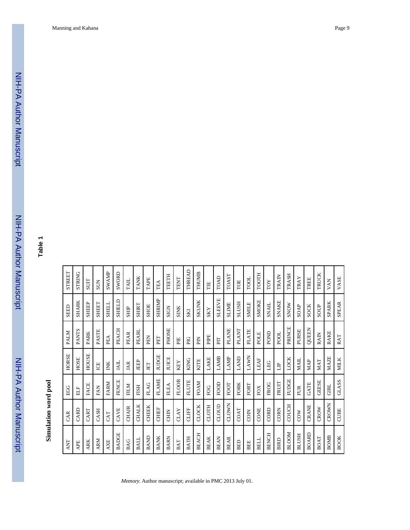NIH-PA Author Manuscript NIH-PA Author Manuscript **Table 1**

# Simulation word pool **Simulation word pool**

| <b>ANT</b>                       | CAR          | EGG          | HORSE                       | <b>PALM</b>  | SEED           | <b>STREET</b> |
|----------------------------------|--------------|--------------|-----------------------------|--------------|----------------|---------------|
| $\mathbf{A}\mathbf{P}\mathbf{E}$ | CARD         | $\rm{ELF}$   | $_{\rm HOSE}$               | <b>PANTS</b> | <b>SHARK</b>   | STRING        |
| <b>ARK</b>                       | CART         | FACE         | HOUSE                       | <b>PARK</b>  | <b>SHEEP</b>   | SUIT          |
| <b>ARM</b>                       | CASH         | FAN          | E                           | PASTE        | <b>SHEET</b>   | SUN           |
| <b>AXE</b>                       | CAT          | FARM         | NK                          | PEA          | <b>SHELL</b>   | <b>SWAMP</b>  |
| BADGE                            | CAVE         | FENCE        | <b>JAIL</b>                 | PEACH        | <b>CTEHRS</b>  | SWORD         |
| <b>BAG</b>                       | <b>CHAIR</b> | <b>NTIH</b>  | JAR                         | PEAR         | <b>SHIP</b>    | <b>TAIL</b>   |
| <b>BALL</b>                      | <b>CHALK</b> | <b>FISH</b>  | JEEP                        | PEARL        | <b>SHIRT</b>   | <b>TANK</b>   |
| <b>BAND</b>                      | CHEEK        | FLAG         | ET                          | PEN          | SHOE           | TAPE          |
| <b>BANK</b>                      | <b>CHIEF</b> | <b>FLAME</b> | <b>JUDGE</b>                | PET          | <b>SHRIMP</b>  | TEA           |
| <b>BARN</b>                      | <b>CHIN</b>  | FLEA         | <b>JUICE</b>                | PHONE        | SIGN           | TEETH         |
| BAT                              | <b>CLAY</b>  | <b>FLOOR</b> | KEY                         | E            | <b>SINK</b>    | TENT          |
| <b>BATH</b>                      | <b>CLIFF</b> | <b>FLUTE</b> | KING                        | PIG          | SKI            | THREAD        |
| <b>BEACH</b>                     | CLOCK        | FOAM         | KITE                        | ЫÄ           | <b>SKUNK</b>   | THUMB         |
| <b>BEAK</b>                      | CLOTH        | FOG          | LAKE                        | PIPE         | <b>SKY</b>     | Ë             |
| <b>BEAN</b>                      | CLOUD        | FOOD         | LAMB                        | $F_{\rm H}$  | <b>SLEEVE</b>  | TOAD          |
| <b>BEAR</b>                      | CLOWN        | FOOT         | LAMP                        | <b>PLANE</b> | <b>SLIME</b>   | TOAST         |
| BED                              | COAT         | <b>FORK</b>  | LAND                        | <b>PLANT</b> | <b>HSITR</b>   | TOE           |
| <b>BEE</b>                       | COIN         | FORT         | LAWN                        | <b>PLATE</b> | $\text{SMILE}$ | TOOL          |
| <b>BELL</b>                      | CONE         | FOX          | LEAF                        | POLE         | SMOKE          | <b>FOOTH</b>  |
| BENCH                            | CORD         | FROG         | EG                          | <b>EXOL</b>  | <b>SNAIL</b>   | TOY           |
| BIRD                             | <b>CORN</b>  | FRUIT        | 白                           | POOL         | <b>SNAKE</b>   | <b>TRAIN</b>  |
| <b>BLOOM</b>                     | COUCH        | <b>FUDGE</b> | LOCK                        | PRINCE       | <b>SNOW</b>    | TRASH         |
| <b>BLUSH</b>                     | COW          | FUR          | <b>MAIL</b>                 | PURSE        | SOAP           | TRAY          |
| BOARD                            | CRANE        | GATE         | MAP                         | QUEEN        | <b>SOCK</b>    | TREE          |
| <b>BOAT</b>                      | CROW         | GEESE        | $\ensuremath{\mathsf{MAT}}$ | <b>RAIN</b>  | SOUP           | <b>IRUCK</b>  |
| <b>BOMB</b>                      | CROWN        | GRL          | MAZE                        | RAKE         | <b>SPARK</b>   | VAN           |
| <b>BOOK</b>                      | CUBE         | <b>GLASS</b> | <b>MILK</b>                 | RAT          | <b>SPEAR</b>   | VASE          |

Memory. Author manuscript; available in PMC 2013 July 01.